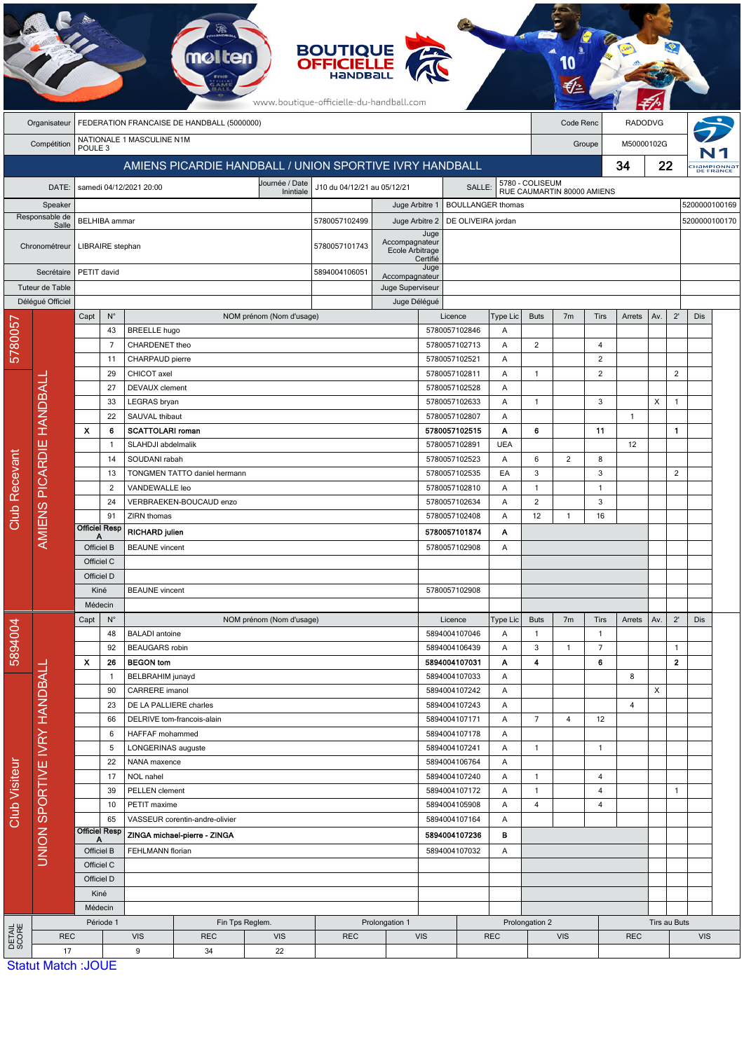|                                      |                              |                                                         |                   |                                     | mølten                       |                             | <b>BOUTIQUE<br/>OFFICIELLE</b><br>www.boutique-officielle-du-handball.com |                                                             |                                |               |                                               |                |                |                |                |            |                         |                          |  |
|--------------------------------------|------------------------------|---------------------------------------------------------|-------------------|-------------------------------------|------------------------------|-----------------------------|---------------------------------------------------------------------------|-------------------------------------------------------------|--------------------------------|---------------|-----------------------------------------------|----------------|----------------|----------------|----------------|------------|-------------------------|--------------------------|--|
|                                      | Organisateur                 | FEDERATION FRANCAISE DE HANDBALL (5000000)              |                   |                                     |                              |                             |                                                                           |                                                             |                                |               |                                               |                | Code Renc      |                | <b>RADODVG</b> |            |                         |                          |  |
|                                      | Compétition                  | NATIONALE 1 MASCULINE N1M<br>POULE <sub>3</sub>         |                   |                                     |                              |                             |                                                                           |                                                             |                                |               |                                               |                | Groupe         |                |                | M50000102G |                         |                          |  |
|                                      |                              | AMIENS PICARDIE HANDBALL / UNION SPORTIVE IVRY HANDBALL |                   |                                     |                              |                             |                                                                           |                                                             |                                |               |                                               |                | 34             |                |                | 22         |                         | :Hampionnat<br>DE FRANCE |  |
|                                      | DATE:                        |                                                         |                   | samedi 04/12/2021 20:00             |                              | J10 du 04/12/21 au 05/12/21 |                                                                           |                                                             | SALLE:                         |               | 5780 - COLISEUM<br>RUE CAUMARTIN 80000 AMIENS |                |                |                |                |            |                         |                          |  |
|                                      | Speaker                      | Inintiale                                               |                   |                                     |                              |                             |                                                                           | 5200000100169<br>Juge Arbitre 1<br><b>BOULLANGER thomas</b> |                                |               |                                               |                |                |                |                |            |                         |                          |  |
| Responsable de                       |                              | <b>BELHIBA</b> ammar                                    |                   |                                     |                              |                             | 5780057102499                                                             | Juge Arbitre 2                                              | DE OLIVEIRA jordan             |               |                                               |                |                |                | 5200000100170  |            |                         |                          |  |
| Salle<br>Chronométreur<br>Secrétaire |                              |                                                         |                   |                                     |                              |                             |                                                                           |                                                             | Juge<br>Accompagnateur         |               |                                               |                |                |                |                |            |                         |                          |  |
|                                      |                              |                                                         | LIBRAIRE stephan  |                                     |                              | 5780057101743               |                                                                           | Ecole Arbitrage                                             | Certifié                       |               |                                               |                |                |                |                |            |                         |                          |  |
|                                      |                              | PETIT david                                             |                   |                                     |                              |                             | 5894004106051                                                             | Accompagnateur                                              |                                |               |                                               |                |                |                |                |            |                         |                          |  |
| Tuteur de Table                      |                              |                                                         |                   |                                     |                              |                             |                                                                           |                                                             | Juge Superviseur               |               |                                               |                |                |                |                |            |                         |                          |  |
|                                      | Délégué Officiel             |                                                         |                   |                                     |                              |                             |                                                                           | Juge Délégué                                                |                                |               |                                               |                |                |                |                |            |                         |                          |  |
|                                      |                              | Capt                                                    | $N^{\circ}$<br>43 | <b>BREELLE</b> hugo                 |                              | NOM prénom (Nom d'usage)    |                                                                           |                                                             | Licence<br>5780057102846       |               | Type Lic<br>A                                 | <b>Buts</b>    | 7 <sub>m</sub> | Tirs           | Arrets         | Av.        | $2^{\prime}$            | Dis                      |  |
| 5780057                              |                              |                                                         | 7                 | CHARDENET theo                      |                              |                             |                                                                           |                                                             | 5780057102713                  |               | A                                             | $\overline{c}$ |                | $\overline{4}$ |                |            |                         |                          |  |
|                                      |                              |                                                         | 11                | CHARPAUD pierre                     |                              |                             |                                                                           |                                                             | 5780057102521                  |               | A                                             |                |                | $\overline{2}$ |                |            |                         |                          |  |
|                                      |                              |                                                         | 29                | CHICOT axel                         |                              |                             |                                                                           |                                                             | 5780057102811                  |               | Α                                             | $\mathbf{1}$   |                | $\overline{2}$ |                |            | $\overline{2}$          |                          |  |
|                                      | <b>HANDBALI</b>              |                                                         | 27                | <b>DEVAUX</b> clement               |                              |                             |                                                                           |                                                             | 5780057102528                  |               | A                                             |                |                |                |                |            |                         |                          |  |
|                                      |                              |                                                         | 33                | LEGRAS bryan                        |                              |                             |                                                                           |                                                             | 5780057102633                  |               | A                                             | $\overline{1}$ |                | 3              |                | X          | $\mathbf{1}$            |                          |  |
|                                      |                              |                                                         | 22                | SAUVAL thibaut                      |                              |                             |                                                                           |                                                             | 5780057102807                  |               | A                                             |                |                |                | $\overline{1}$ |            |                         |                          |  |
|                                      |                              | X<br>6<br>-1                                            |                   | <b>SCATTOLARI roman</b>             |                              |                             |                                                                           |                                                             | 5780057102515                  |               | A<br><b>UEA</b>                               | 6              |                | 11             |                |            | $\mathbf{1}$            |                          |  |
|                                      | <b>AMIENS PICARDIE</b>       | 14                                                      |                   | SLAHDJI abdelmalik<br>SOUDANI rabah |                              |                             |                                                                           |                                                             | 5780057102891<br>5780057102523 |               | Α                                             | 6              | 2              | 8              | 12             |            |                         |                          |  |
|                                      |                              |                                                         | 13                |                                     | TONGMEN TATTO daniel hermann |                             |                                                                           |                                                             | 5780057102535                  |               | EA                                            | 3              |                | 3              |                |            | $\overline{2}$          |                          |  |
| Recevant                             |                              |                                                         | $\overline{c}$    | VANDEWALLE leo                      |                              |                             |                                                                           |                                                             | 5780057102810                  |               | A                                             | $\mathbf{1}$   |                | $\mathbf{1}$   |                |            |                         |                          |  |
|                                      |                              |                                                         | 24                |                                     | VERBRAEKEN-BOUCAUD enzo      |                             |                                                                           |                                                             | 5780057102634                  |               | A                                             | $\overline{c}$ |                | 3              |                |            |                         |                          |  |
| Club                                 |                              |                                                         | 91                | ZIRN thomas                         |                              |                             |                                                                           |                                                             | 5780057102408                  |               | A                                             | 12             | $\mathbf{1}$   | 16             |                |            |                         |                          |  |
|                                      |                              | <b>Officiel Resp</b>                                    |                   | <b>RICHARD julien</b>               |                              |                             |                                                                           | 5780057101874                                               |                                | Α             |                                               |                |                |                |                |            |                         |                          |  |
|                                      |                              | Officiel B                                              |                   | <b>BEAUNE</b> vincent               |                              |                             |                                                                           | 5780057102908                                               |                                | Α             |                                               |                |                |                |                |            |                         |                          |  |
|                                      |                              | Officiel C                                              |                   |                                     |                              |                             |                                                                           |                                                             |                                |               |                                               |                |                |                |                |            |                         |                          |  |
|                                      |                              | Officiel D                                              |                   |                                     |                              |                             |                                                                           |                                                             |                                |               |                                               |                |                |                |                |            |                         |                          |  |
|                                      |                              | Kiné<br>Médecin                                         |                   | <b>BEAUNE</b> vincent               |                              |                             |                                                                           | 5780057102908                                               |                                |               |                                               |                |                |                |                |            |                         |                          |  |
|                                      |                              | Capt                                                    | $N^{\circ}$       |                                     |                              | NOM prénom (Nom d'usage)    |                                                                           |                                                             | Licence                        |               | Type Lic                                      | <b>Buts</b>    | 7 <sub>m</sub> | Tirs           | Arrets         | Av.        | $2^{\prime}$            | Dis                      |  |
|                                      |                              |                                                         | 48                | <b>BALADI</b> antoine               |                              |                             |                                                                           |                                                             | 5894004107046                  |               | Α                                             | $\mathbf{1}$   |                | $\mathbf{1}$   |                |            |                         |                          |  |
| 5894004                              |                              |                                                         | 92                | <b>BEAUGARS</b> robin               |                              |                             |                                                                           |                                                             | 5894004106439                  |               | Α                                             | 3              | $\mathbf{1}$   | $\overline{7}$ |                |            | $\mathbf{1}$            |                          |  |
|                                      |                              | x                                                       | 26                | <b>BEGON</b> tom                    |                              |                             |                                                                           |                                                             |                                | 5894004107031 |                                               | 4              |                | 6              |                |            | $\overline{\mathbf{2}}$ |                          |  |
|                                      |                              |                                                         | -1                | <b>BELBRAHIM</b> junayd             |                              |                             |                                                                           |                                                             | 5894004107033                  |               | Α                                             |                |                |                | 8              |            |                         |                          |  |
|                                      |                              |                                                         | 90                | CARRERE imanol                      |                              |                             |                                                                           |                                                             | 5894004107242                  |               | A                                             |                |                |                |                | X          |                         |                          |  |
|                                      |                              |                                                         | 23<br>66          | DE LA PALLIERE charles              | DELRIVE tom-francois-alain   |                             |                                                                           |                                                             | 5894004107243<br>5894004107171 |               | A<br>Α                                        | $\overline{7}$ | $\overline{4}$ | 12             | $\overline{4}$ |            |                         |                          |  |
|                                      |                              | 6                                                       |                   | HAFFAF mohammed                     |                              |                             |                                                                           |                                                             | 5894004107178                  |               | Α                                             |                |                |                |                |            |                         |                          |  |
|                                      |                              |                                                         | 5                 | LONGERINAS auguste                  |                              |                             |                                                                           |                                                             | 5894004107241                  |               | Α                                             | $\overline{1}$ |                | $\mathbf{1}$   |                |            |                         |                          |  |
|                                      | UNION SPORTIVE IVRY HANDBALL |                                                         | 22                | NANA maxence                        |                              |                             | 5894004106764                                                             |                                                             | Α                              |               |                                               |                |                |                |                |            |                         |                          |  |
|                                      |                              |                                                         | 17                | NOL nahel                           |                              |                             |                                                                           |                                                             | 5894004107240                  |               | Α                                             | $\mathbf{1}$   |                | $\overline{4}$ |                |            |                         |                          |  |
| Club Visiteur                        |                              |                                                         | 39                | PELLEN clement                      |                              |                             |                                                                           |                                                             | 5894004107172                  |               | Α                                             | $\mathbf{1}$   |                | $\overline{4}$ |                |            | $\mathbf{1}$            |                          |  |
|                                      |                              |                                                         | 10                | PETIT maxime                        |                              |                             |                                                                           |                                                             | 5894004105908                  |               | A                                             | $\overline{4}$ |                | 4              |                |            |                         |                          |  |
|                                      |                              | 65<br><b>Officiel Resp</b>                              |                   | VASSEUR corentin-andre-olivier      |                              |                             |                                                                           | 5894004107164                                               |                                | A             |                                               |                |                |                |                |            |                         |                          |  |
|                                      |                              | А                                                       |                   | ZINGA michael-pierre - ZINGA        |                              |                             |                                                                           | 5894004107236<br>в<br>5894004107032<br>Α                    |                                |               |                                               |                |                |                |                |            |                         |                          |  |
|                                      |                              | Officiel B<br>Officiel C                                |                   | FEHLMANN florian                    |                              |                             |                                                                           |                                                             |                                |               |                                               |                |                |                |                |            |                         |                          |  |
|                                      |                              | Officiel D                                              |                   |                                     |                              |                             |                                                                           |                                                             |                                |               |                                               |                |                |                |                |            |                         |                          |  |
|                                      |                              | Kiné                                                    |                   |                                     |                              |                             |                                                                           |                                                             |                                |               |                                               |                |                |                |                |            |                         |                          |  |
|                                      |                              | Médecin                                                 |                   |                                     |                              |                             |                                                                           |                                                             |                                |               |                                               |                |                |                |                |            |                         |                          |  |
| DETAIL<br>SCORE                      |                              | Période 1                                               |                   |                                     | Fin Tps Reglem.              |                             |                                                                           | Prolongation 1                                              |                                |               |                                               | Prolongation 2 |                |                |                |            | Tirs au Buts            |                          |  |
|                                      | <b>REC</b>                   |                                                         |                   | <b>VIS</b>                          | <b>REC</b>                   | <b>VIS</b>                  | <b>REC</b>                                                                |                                                             | <b>VIS</b>                     |               | <b>REC</b>                                    | <b>VIS</b>     |                |                | <b>REC</b>     |            | <b>VIS</b>              |                          |  |
|                                      | 17                           | $Q_{\text{fath}} + M_{\text{fath}} + I$                 |                   | 9                                   | 34                           | 22                          |                                                                           |                                                             |                                |               |                                               |                |                |                |                |            |                         |                          |  |

**Committee** 

**Statut Match: JOUE**